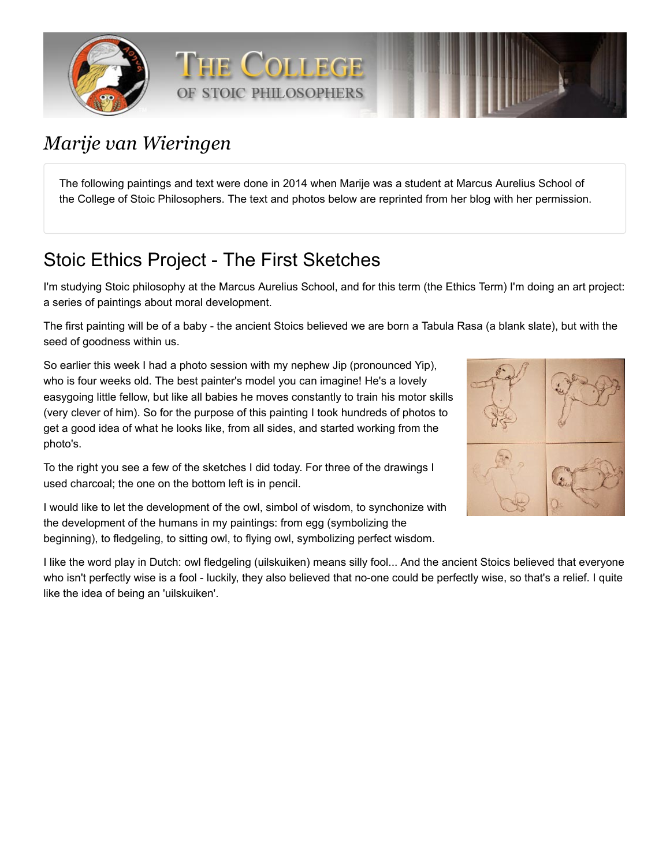



# *Marije van Wieringen*

The following paintings and text were done in 2014 when Marije was a student at Marcus Aurelius School of the College of Stoic Philosophers. The text and photos below are reprinted from her blog with her permission.

# Stoic Ethics Project - The First Sketches

I'm studying Stoic philosophy at the [Marcus Aurelius School](https://old.newstoa.com/index.php/ma_school), and for this term (the Ethics Term) I'm doing an art project: a series of paintings about moral development.

The first painting will be of a baby - the ancient Stoics believed we are born a Tabula Rasa (a blank slate), but with the seed of goodness within us.

So earlier this week I had a photo session with my nephew Jip (pronounced Yip), who is four weeks old. The best painter's model you can imagine! He's a lovely easygoing little fellow, but like all babies he moves constantly to train his motor skills (very clever of him). So for the purpose of this painting I took hundreds of photos to get a good idea of what he looks like, from all sides, and started working from the photo's.

To the right you see a few of the sketches I did today. For three of the drawings I used charcoal; the one on the bottom left is in pencil.

I would like to let the development of the owl, simbol of wisdom, to synchonize with the development of the humans in my paintings: from egg (symbolizing the beginning), to fledgeling, to sitting owl, to flying owl, symbolizing perfect wisdom.



I like the word play in Dutch: owl fledgeling (uilskuiken) means silly fool... And the ancient Stoics believed that everyone who isn't perfectly wise is a fool - luckily, they also believed that no-one could be perfectly wise, so that's a relief. I quite like the idea of being an 'uilskuiken'.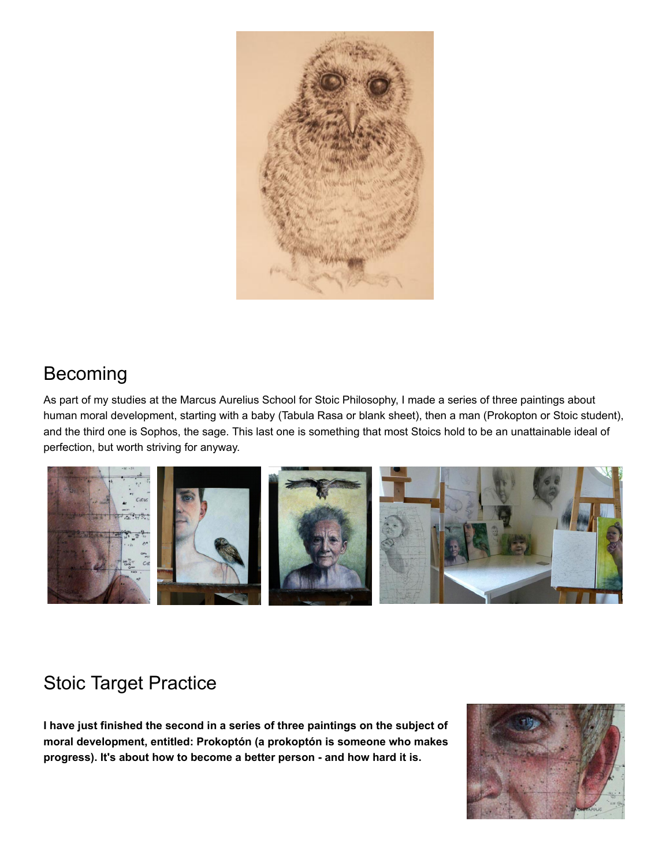

## Becoming

As part of my studies at the Marcus Aurelius School for Stoic Philosophy, I made a series of three paintings about human moral development, starting with a baby (Tabula Rasa or blank sheet), then a man (Prokopton or Stoic student), and the third one is Sophos, the sage. This last one is something that most Stoics hold to be an unattainable ideal of perfection, but worth striving for anyway.



# Stoic Target Practice

**I have just finished the second in a series of three paintings on the subject of moral development, entitled: Prokoptón (a prokoptón is someone who makes progress). It's about how to become a better person - and how hard it is.**

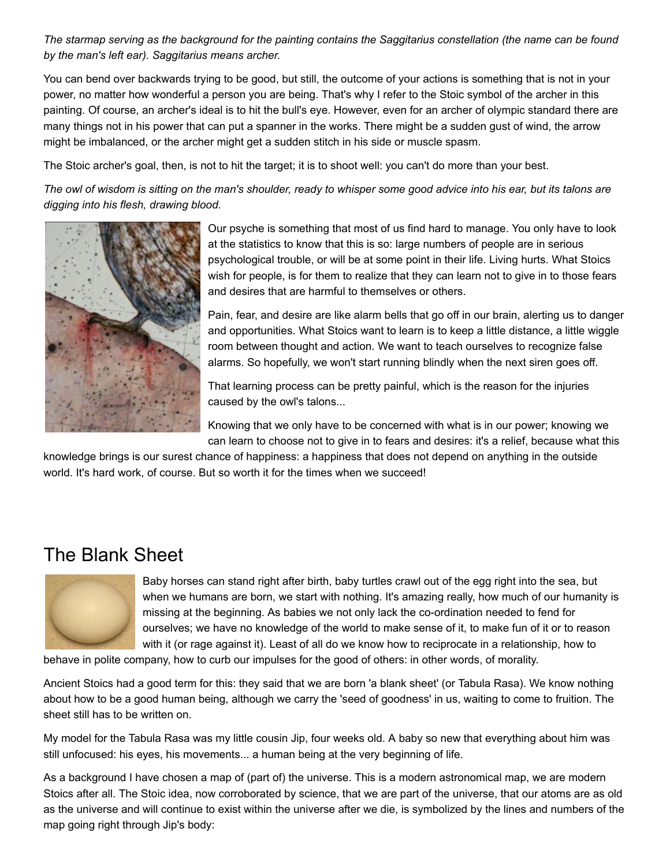*The starmap serving as the background for the painting contains the Saggitarius constellation (the name can be found by the man's left ear). Saggitarius means archer.*

You can bend over backwards trying to be good, but still, the outcome of your actions is something that is not in your power, no matter how wonderful a person you are being. That's why I refer to the Stoic symbol of the archer in this painting. Of course, an archer's ideal is to hit the bull's eye. However, even for an archer of olympic standard there are many things not in his power that can put a spanner in the works. There might be a sudden gust of wind, the arrow might be imbalanced, or the archer might get a sudden stitch in his side or muscle spasm.

The Stoic archer's goal, then, is not to hit the target; it is to shoot well: you can't do more than your best.

*The owl of wisdom is sitting on the man's shoulder, ready to whisper some good advice into his ear, but its talons are digging into his flesh, drawing blood.*



Our psyche is something that most of us find hard to manage. You only have to look at the statistics to know that this is so: large numbers of people are in serious psychological trouble, or will be at some point in their life. Living hurts. What Stoics wish for people, is for them to realize that they can learn not to give in to those fears and desires that are harmful to themselves or others.

Pain, fear, and desire are like alarm bells that go off in our brain, alerting us to danger and opportunities. What Stoics want to learn is to keep a little distance, a little wiggle room between thought and action. We want to teach ourselves to recognize false alarms. So hopefully, we won't start running blindly when the next siren goes off.

That learning process can be pretty painful, which is the reason for the injuries caused by the owl's talons...

Knowing that we only have to be concerned with what is in our power; knowing we can learn to choose not to give in to fears and desires: it's a relief, because what this

knowledge brings is our surest chance of happiness: a happiness that does not depend on anything in the outside world. It's hard work, of course. But so worth it for the times when we succeed!

### The Blank Sheet



Baby horses can stand right after birth, baby turtles crawl out of the egg right into the sea, but when we humans are born, we start with nothing. It's amazing really, how much of our humanity is missing at the beginning. As babies we not only lack the co-ordination needed to fend for ourselves; we have no knowledge of the world to make sense of it, to make fun of it or to reason with it (or rage against it). Least of all do we know how to reciprocate in a relationship, how to

behave in polite company, how to curb our impulses for the good of others: in other words, of morality.

Ancient Stoics had a good term for this: they said that we are born 'a blank sheet' (or Tabula Rasa). We know nothing about how to be a good human being, although we carry the 'seed of goodness' in us, waiting to come to fruition. The sheet still has to be written on.

My model for the Tabula Rasa was my little cousin Jip, four weeks old. A baby so new that everything about him was still unfocused: his eyes, his movements... a human being at the very beginning of life.

As a background I have chosen a map of (part of) the universe. This is a modern astronomical map, we are modern Stoics after all. The Stoic idea, now corroborated by science, that we are part of the universe, that our atoms are as old as the universe and will continue to exist within the universe after we die, is symbolized by the lines and numbers of the map going right through Jip's body: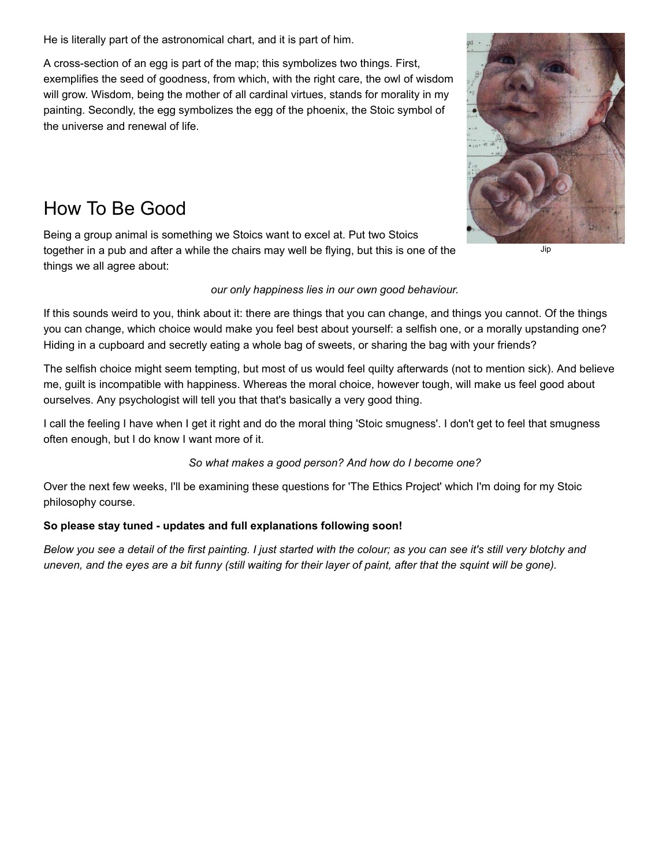He is literally part of the astronomical chart, and it is part of him.

A cross-section of an egg is part of the map; this symbolizes two things. First, exemplifies the seed of goodness, from which, with the right care, the owl of wisdom will grow. Wisdom, being the mother of all cardinal virtues, stands for morality in my painting. Secondly, the egg symbolizes the egg of the phoenix, the Stoic symbol of the universe and renewal of life.

### How To Be Good

Being a group animal is something we Stoics want to excel at. Put two Stoics together in a pub and after a while the chairs may well be flying, but this is one of the things we all agree about:

### *our only happiness lies in our own good behaviour.*

If this sounds weird to you, think about it: there are things that you can change, and things you cannot. Of the things you can change, which choice would make you feel best about yourself: a selfish one, or a morally upstanding one? Hiding in a cupboard and secretly eating a whole bag of sweets, or sharing the bag with your friends?

The selfish choice might seem tempting, but most of us would feel quilty afterwards (not to mention sick). And believe me, guilt is incompatible with happiness. Whereas the moral choice, however tough, will make us feel good about ourselves. Any psychologist will tell you that that's basically a very good thing.

I call the feeling I have when I get it right and do the moral thing 'Stoic smugness'. I don't get to feel that smugness often enough, but I do know I want more of it.

#### *So what makes a good person? And how do I become one?*

Over the next few weeks, I'll be examining these questions for 'The Ethics Project' which I'm doing for my Stoic philosophy course.

#### **So please stay tuned - updates and full explanations following soon!**

*Below you see a detail of the first painting. I just started with the colour; as you can see it's still very blotchy and uneven, and the eyes are a bit funny (still waiting for their layer of paint, after that the squint will be gone).*



Jip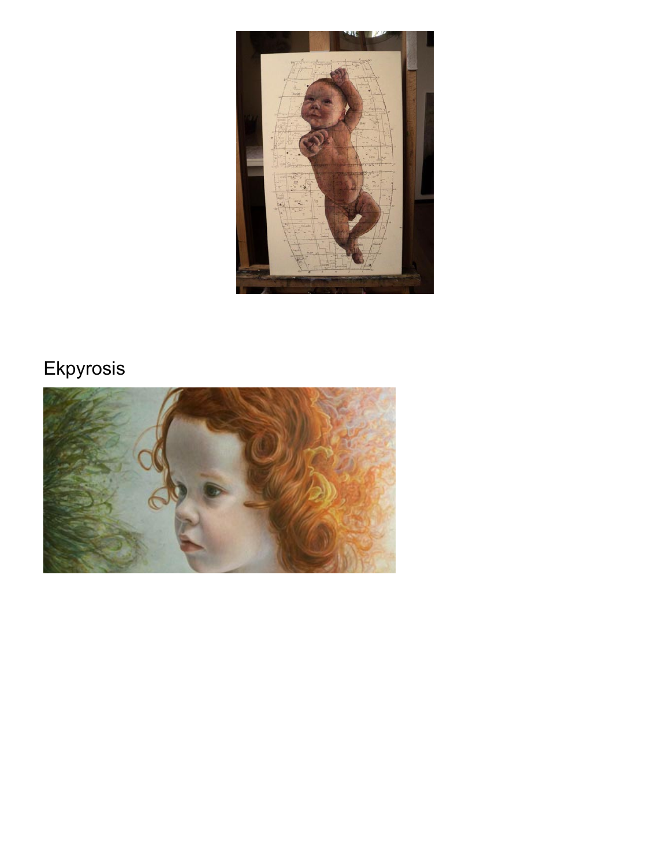

# Ekpyrosis

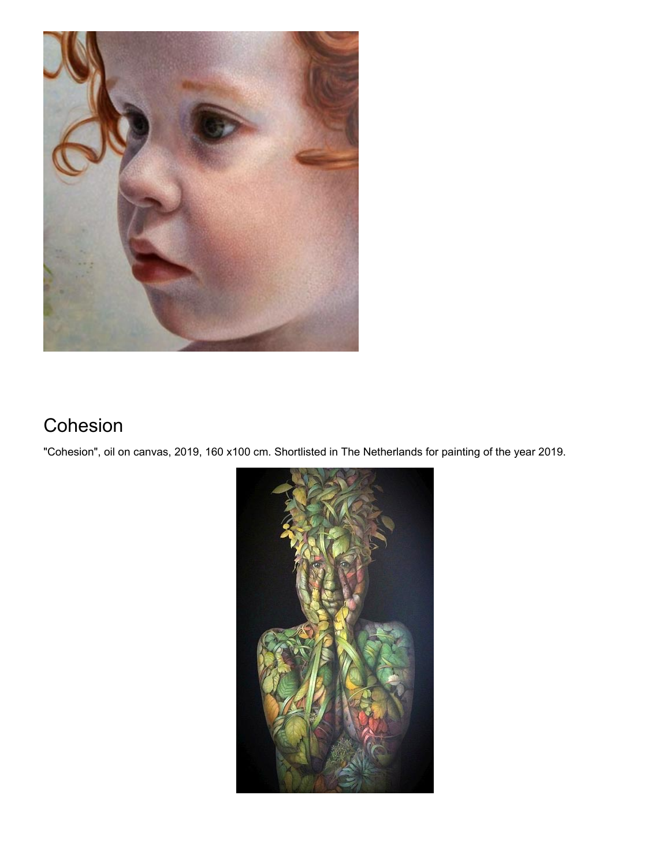

# Cohesion

"Cohesion", oil on canvas, 2019, 160 x100 cm. Shortlisted in The Netherlands for painting of the year 2019.